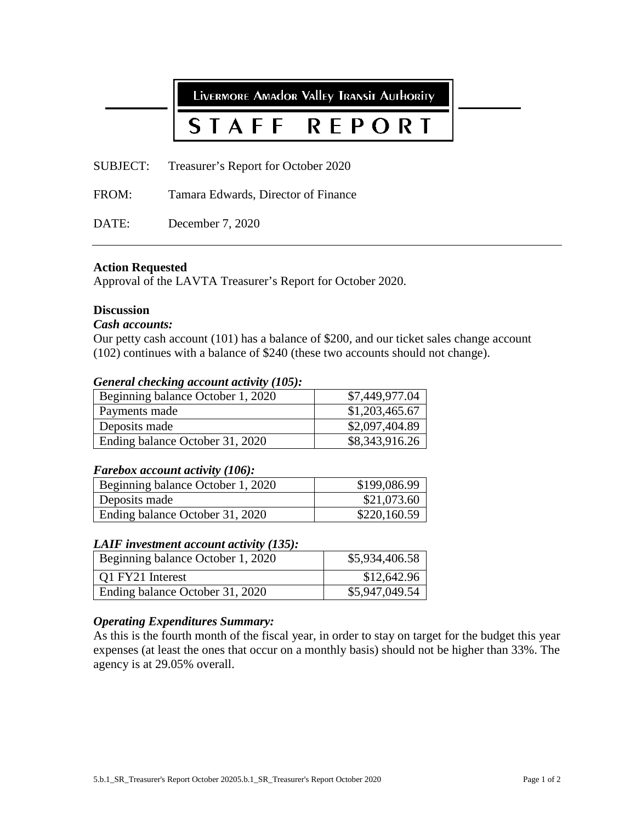LIVERMORE AMAdor Valley TRANSIT AUTHORITY STAFF **REPORT** SUBJECT: Treasurer's Report for October 2020 FROM: Tamara Edwards, Director of Finance DATE: December 7, 2020

# **Action Requested**

Approval of the LAVTA Treasurer's Report for October 2020.

# **Discussion**

# *Cash accounts:*

Our petty cash account (101) has a balance of \$200, and our ticket sales change account (102) continues with a balance of \$240 (these two accounts should not change).

# *General checking account activity (105):*

| Beginning balance October 1, 2020 | \$7,449,977.04 |
|-----------------------------------|----------------|
| Payments made                     | \$1,203,465.67 |
| Deposits made                     | \$2,097,404.89 |
| Ending balance October 31, 2020   | \$8,343,916.26 |

#### *Farebox account activity (106):*

| Beginning balance October 1, 2020 | \$199,086.99 |
|-----------------------------------|--------------|
| Deposits made                     | \$21,073.60  |
| Ending balance October 31, 2020   | \$220,160.59 |

# *LAIF investment account activity (135):*

| Beginning balance October 1, 2020 | \$5,934,406.58 |
|-----------------------------------|----------------|
| O1 FY21 Interest                  | \$12,642.96    |
| Ending balance October 31, 2020   | \$5,947,049.54 |

# *Operating Expenditures Summary:*

As this is the fourth month of the fiscal year, in order to stay on target for the budget this year expenses (at least the ones that occur on a monthly basis) should not be higher than 33%. The agency is at 29.05% overall.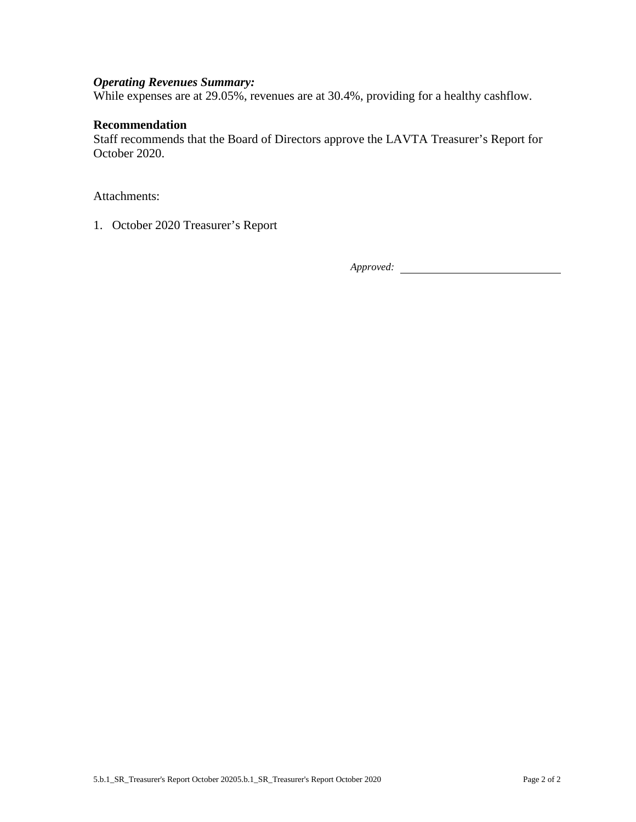# *Operating Revenues Summary:*

While expenses are at 29.05%, revenues are at 30.4%, providing for a healthy cashflow.

# **Recommendation**

Staff recommends that the Board of Directors approve the LAVTA Treasurer's Report for October 2020.

Attachments:

1. October 2020 Treasurer's Report

*Approved:*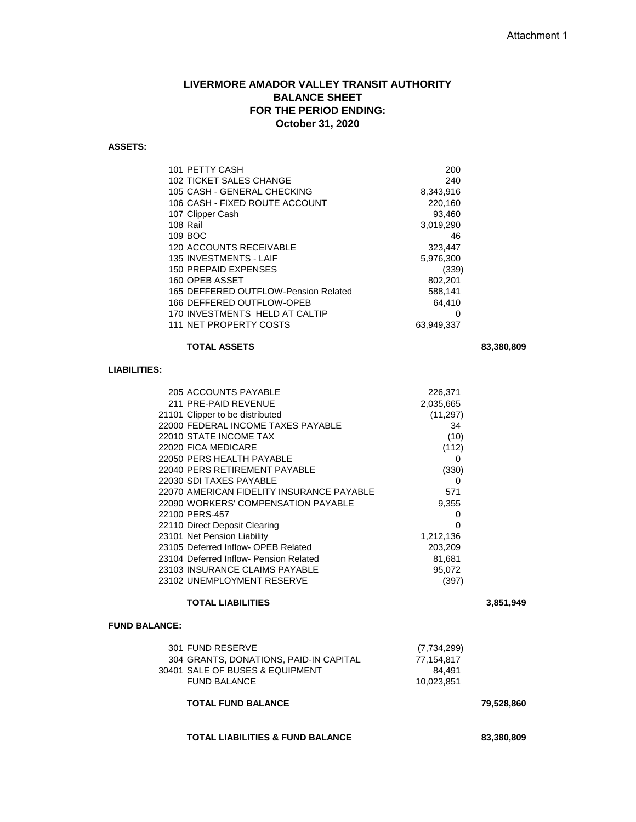# **LIVERMORE AMADOR VALLEY TRANSIT AUTHORITY BALANCE SHEET FOR THE PERIOD ENDING: October 31, 2020**

#### **ASSETS:**

| 101 PETTY CASH                       | 200        |
|--------------------------------------|------------|
| 102 TICKET SALES CHANGE              | 240        |
| 105 CASH - GENERAL CHECKING          | 8,343,916  |
| 106 CASH - FIXED ROUTE ACCOUNT       | 220,160    |
| 107 Clipper Cash                     | 93,460     |
| 108 Rail                             | 3,019,290  |
| 109 BOC                              | 46         |
| 120 ACCOUNTS RECEIVABLE              | 323,447    |
| 135 INVESTMENTS - LAIF               | 5,976,300  |
| 150 PREPAID EXPENSES                 | (339)      |
| 160 OPEB ASSET                       | 802,201    |
| 165 DEFFERED OUTFLOW-Pension Related | 588,141    |
| 166 DEFFERED OUTFLOW-OPEB            | 64,410     |
| 170 INVESTMENTS HELD AT CALTIP       | O          |
| 111 NET PROPERTY COSTS               | 63,949,337 |
|                                      |            |

## **TOTAL ASSETS 83,380,809**

# **LIABILITIES:**

| 205 ACCOUNTS PAYABLE                      | 226,371   |
|-------------------------------------------|-----------|
| 211 PRE-PAID REVENUE                      | 2,035,665 |
| 21101 Clipper to be distributed           | (11, 297) |
| 22000 FEDERAL INCOME TAXES PAYABLE        | 34        |
| 22010 STATE INCOME TAX                    | (10)      |
| 22020 FICA MEDICARE                       | (112)     |
| 22050 PERS HEALTH PAYABLE                 | 0         |
| 22040 PERS RETIREMENT PAYABLE             | (330)     |
| 22030 SDI TAXES PAYABLE                   | 0         |
| 22070 AMERICAN FIDELITY INSURANCE PAYABLE | 571       |
| 22090 WORKERS' COMPENSATION PAYABLE       | 9,355     |
| 22100 PERS-457                            | 0         |
| 22110 Direct Deposit Clearing             | O         |
| 23101 Net Pension Liability               | 1,212,136 |
| 23105 Deferred Inflow- OPEB Related       | 203,209   |
| 23104 Deferred Inflow- Pension Related    | 81,681    |
| 23103 INSURANCE CLAIMS PAYABLE            | 95,072    |
| 23102 UNEMPLOYMENT RESERVE                | (397)     |
|                                           |           |

#### **TOTAL LIABILITIES 3,851,949**

#### **FUND BALANCE:**

| 301 FUND RESERVE                       | (7,734,299) |
|----------------------------------------|-------------|
| 304 GRANTS, DONATIONS, PAID-IN CAPITAL | 77.154.817  |
| 30401 SALE OF BUSES & EQUIPMENT        | 84.491      |
| <b>FUND BALANCE</b>                    | 10.023.851  |
|                                        |             |

### **TOTAL FUND BALANCE 79,528,860**

#### **TOTAL LIABILITIES & FUND BALANCE 83,380,809**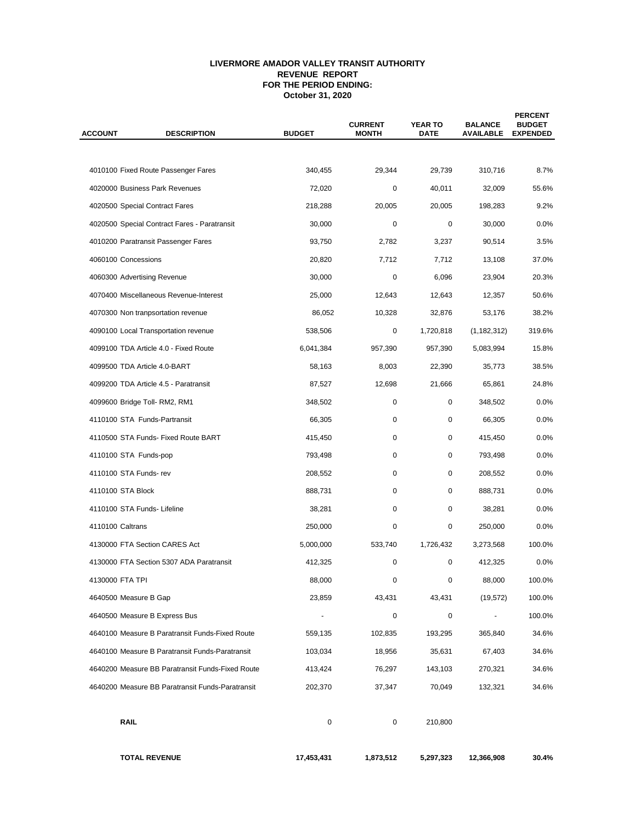#### **LIVERMORE AMADOR VALLEY TRANSIT AUTHORITY REVENUE REPORT FOR THE PERIOD ENDING: October 31, 2020**

| <b>ACCOUNT</b>        | <b>DESCRIPTION</b>                               | <b>BUDGET</b> | <b>CURRENT</b><br><b>MONTH</b> | <b>YEAR TO</b><br><b>DATE</b> | <b>BALANCE</b><br><b>AVAILABLE</b> | <b>PERCENT</b><br><b>BUDGET</b><br><b>EXPENDED</b> |  |
|-----------------------|--------------------------------------------------|---------------|--------------------------------|-------------------------------|------------------------------------|----------------------------------------------------|--|
|                       |                                                  |               |                                |                               |                                    |                                                    |  |
|                       | 4010100 Fixed Route Passenger Fares              | 340,455       | 29,344                         | 29.739                        | 310,716                            | 8.7%                                               |  |
|                       | 4020000 Business Park Revenues                   | 72,020        | 0                              | 40,011                        | 32,009                             | 55.6%                                              |  |
|                       | 4020500 Special Contract Fares                   | 218,288       | 20,005                         | 20,005                        | 198,283                            | 9.2%                                               |  |
|                       | 4020500 Special Contract Fares - Paratransit     | 30,000        | 0                              | 0                             | 30,000                             | 0.0%                                               |  |
|                       | 4010200 Paratransit Passenger Fares              | 93,750        | 2,782                          | 3,237                         | 90,514                             | 3.5%                                               |  |
| 4060100 Concessions   |                                                  | 20,820        | 7,712                          | 7,712                         | 13,108                             | 37.0%                                              |  |
|                       | 4060300 Advertising Revenue                      | 30,000        | 0                              | 6,096                         | 23,904                             | 20.3%                                              |  |
|                       | 4070400 Miscellaneous Revenue-Interest           | 25,000        | 12,643                         | 12,643                        | 12,357                             | 50.6%                                              |  |
|                       | 4070300 Non tranpsortation revenue               | 86,052        | 10,328                         | 32,876                        | 53,176                             | 38.2%                                              |  |
|                       | 4090100 Local Transportation revenue             | 538,506       | 0                              | 1,720,818                     | (1, 182, 312)                      | 319.6%                                             |  |
|                       | 4099100 TDA Article 4.0 - Fixed Route            | 6,041,384     | 957,390                        | 957,390                       | 5,083,994                          | 15.8%                                              |  |
|                       | 4099500 TDA Article 4.0-BART                     | 58,163        | 8,003                          | 22,390                        | 35,773                             | 38.5%                                              |  |
|                       | 4099200 TDA Article 4.5 - Paratransit            | 87,527        | 12,698                         | 21,666                        | 65,861                             | 24.8%                                              |  |
|                       | 4099600 Bridge Toll- RM2, RM1                    | 348,502       | 0                              | 0                             | 348,502                            | 0.0%                                               |  |
|                       | 4110100 STA Funds-Partransit                     | 66,305        | 0                              | 0                             | 66,305                             | 0.0%                                               |  |
|                       | 4110500 STA Funds- Fixed Route BART              | 415,450       | 0                              | 0                             | 415,450                            | 0.0%                                               |  |
| 4110100 STA Funds-pop |                                                  | 793,498       | 0                              | 0                             | 793,498                            | 0.0%                                               |  |
| 4110100 STA Funds-rev |                                                  | 208,552       | 0                              | 0                             | 208,552                            | 0.0%                                               |  |
| 4110100 STA Block     |                                                  | 888,731       | 0                              | 0                             | 888,731                            | 0.0%                                               |  |
|                       | 4110100 STA Funds- Lifeline                      | 38,281        | 0                              | 0                             | 38,281                             | 0.0%                                               |  |
| 4110100 Caltrans      |                                                  | 250,000       | 0                              | 0                             | 250,000                            | 0.0%                                               |  |
|                       | 4130000 FTA Section CARES Act                    | 5,000,000     | 533,740                        | 1,726,432                     | 3,273,568                          | 100.0%                                             |  |
|                       | 4130000 FTA Section 5307 ADA Paratransit         | 412,325       | 0                              | 0                             | 412,325                            | 0.0%                                               |  |
| 4130000 FTA TPI       |                                                  | 88,000        | 0                              | 0                             | 88,000                             | 100.0%                                             |  |
| 4640500 Measure B Gap |                                                  | 23,859        | 43,431                         | 43,431                        | (19, 572)                          | 100.0%                                             |  |
|                       | 4640500 Measure B Express Bus                    |               | 0                              | 0                             |                                    | 100.0%                                             |  |
|                       | 4640100 Measure B Paratransit Funds-Fixed Route  | 559,135       | 102,835                        | 193,295                       | 365,840                            | 34.6%                                              |  |
|                       | 4640100 Measure B Paratransit Funds-Paratransit  | 103,034       | 18,956                         | 35,631                        | 67,403                             | 34.6%                                              |  |
|                       | 4640200 Measure BB Paratransit Funds-Fixed Route | 413,424       | 76,297                         | 143,103                       | 270,321                            | 34.6%                                              |  |
|                       | 4640200 Measure BB Paratransit Funds-Paratransit | 202,370       | 37,347                         | 70,049                        | 132,321                            | 34.6%                                              |  |
| <b>RAIL</b>           |                                                  | $\pmb{0}$     | 0                              | 210,800                       |                                    |                                                    |  |
|                       | <b>TOTAL REVENUE</b>                             | 17,453,431    | 1,873,512                      | 5,297,323                     | 12,366,908                         | 30.4%                                              |  |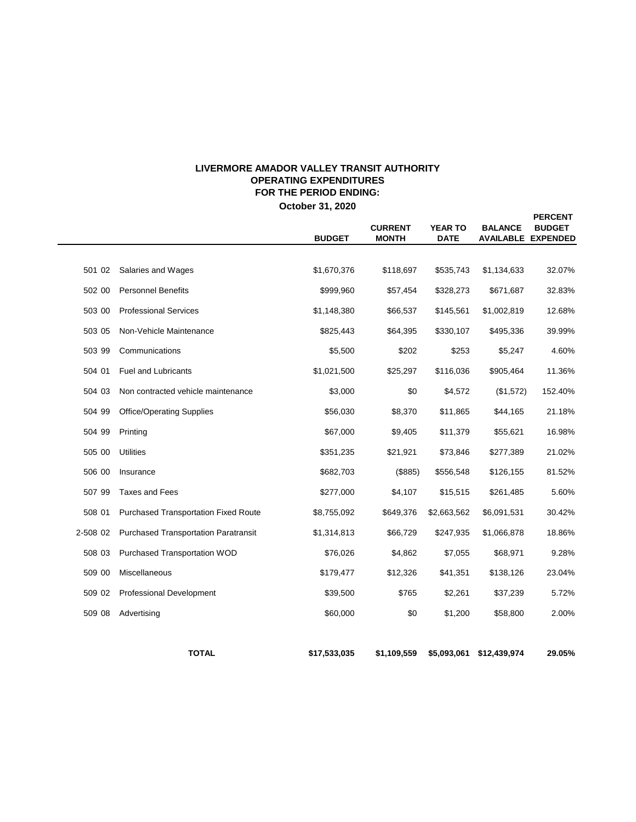# **LIVERMORE AMADOR VALLEY TRANSIT AUTHORITY OPERATING EXPENDITURES FOR THE PERIOD ENDING:**

**October 31, 2020**

 $\overline{\phantom{0}}$ 

|          |                                             | <b>BUDGET</b>             | <b>CURRENT</b><br><b>MONTH</b> | <b>YEAR TO</b><br><b>DATE</b> | <b>BALANCE</b> | <b>PERCENT</b><br><b>BUDGET</b><br><b>AVAILABLE EXPENDED</b> |
|----------|---------------------------------------------|---------------------------|--------------------------------|-------------------------------|----------------|--------------------------------------------------------------|
|          |                                             |                           |                                |                               |                |                                                              |
| 501 02   | Salaries and Wages                          | \$1,670,376               | \$118,697                      | \$535,743                     | \$1,134,633    | 32.07%                                                       |
| 502 00   | <b>Personnel Benefits</b>                   | \$999,960                 | \$57,454                       | \$328,273                     | \$671,687      | 32.83%                                                       |
| 503 00   | <b>Professional Services</b>                | \$1,148,380               | \$66,537                       | \$145,561                     | \$1,002,819    | 12.68%                                                       |
| 503 05   | Non-Vehicle Maintenance                     | \$825,443                 | \$64,395                       | \$330,107                     | \$495,336      | 39.99%                                                       |
| 503 99   | Communications                              | \$5,500                   | \$202                          | \$253                         | \$5,247        | 4.60%                                                        |
| 504 01   | <b>Fuel and Lubricants</b>                  | \$1,021,500               | \$25,297                       | \$116,036                     | \$905,464      | 11.36%                                                       |
| 504 03   | Non contracted vehicle maintenance          | \$3,000<br>\$0<br>\$4,572 |                                |                               | (\$1,572)      | 152.40%                                                      |
| 504 99   | <b>Office/Operating Supplies</b>            | \$56,030                  | \$8,370                        | \$11,865                      | \$44,165       | 21.18%                                                       |
| 504 99   | Printing                                    | \$67,000                  | \$9,405                        | \$11,379                      | \$55,621       | 16.98%                                                       |
| 505 00   | <b>Utilities</b>                            | \$351,235                 | \$21,921                       | \$73,846                      | \$277,389      | 21.02%                                                       |
| 506 00   | Insurance                                   | \$682,703                 | (\$885)                        | \$556,548                     | \$126,155      | 81.52%                                                       |
| 507 99   | <b>Taxes and Fees</b>                       | \$277,000                 | \$4,107                        | \$15,515                      | \$261,485      | 5.60%                                                        |
| 508 01   | <b>Purchased Transportation Fixed Route</b> | \$8,755,092               | \$649,376                      | \$2,663,562                   | \$6,091,531    | 30.42%                                                       |
| 2-508 02 | <b>Purchased Transportation Paratransit</b> | \$1,314,813               | \$66,729                       | \$247,935                     | \$1,066,878    | 18.86%                                                       |
| 508 03   | Purchased Transportation WOD                | \$76,026                  | \$4,862                        | \$7,055                       | \$68,971       | 9.28%                                                        |
| 509 00   | Miscellaneous                               | \$179,477                 | \$12,326                       | \$41,351                      | \$138,126      | 23.04%                                                       |
| 509 02   | <b>Professional Development</b>             | \$39,500                  | \$765                          | \$2,261                       | \$37,239       | 5.72%                                                        |
| 509 08   | Advertising                                 | \$60,000                  | \$0                            | \$1,200                       | \$58,800       | 2.00%                                                        |
|          |                                             |                           |                                |                               |                |                                                              |
|          | <b>TOTAL</b>                                | \$17,533,035              | \$1,109,559                    | \$5,093,061                   | \$12,439,974   | 29.05%                                                       |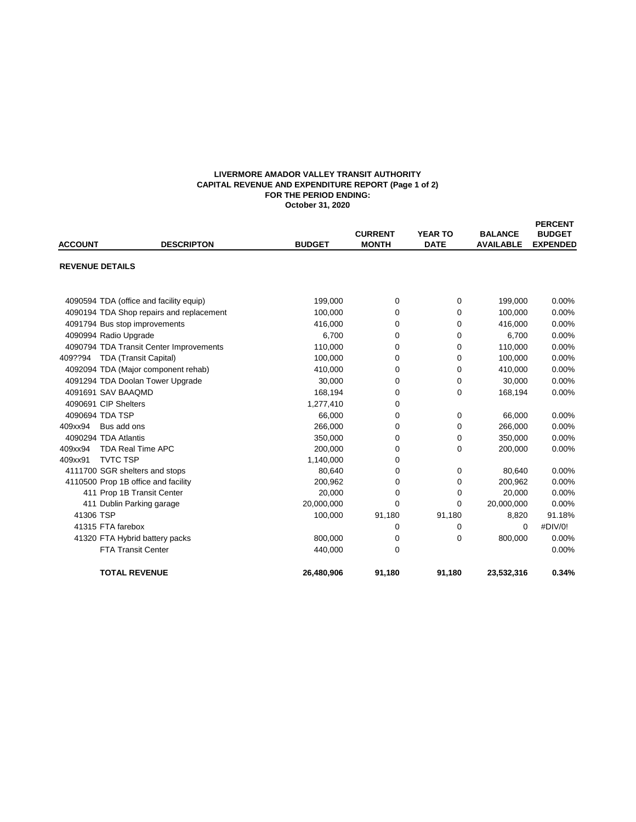#### **LIVERMORE AMADOR VALLEY TRANSIT AUTHORITY CAPITAL REVENUE AND EXPENDITURE REPORT (Page 1 of 2) FOR THE PERIOD ENDING: October 31, 2020**

| <b>ACCOUNT</b>         | <b>DESCRIPTON</b>                        | <b>BUDGET</b> | <b>CURRENT</b><br><b>MONTH</b> | <b>YEAR TO</b><br><b>DATE</b> | <b>BALANCE</b><br><b>AVAILABLE</b> | <b>PERCENT</b><br><b>BUDGET</b><br><b>EXPENDED</b> |
|------------------------|------------------------------------------|---------------|--------------------------------|-------------------------------|------------------------------------|----------------------------------------------------|
| <b>REVENUE DETAILS</b> |                                          |               |                                |                               |                                    |                                                    |
|                        | 4090594 TDA (office and facility equip)  | 199,000       | 0                              | 0                             | 199,000                            | 0.00%                                              |
|                        | 4090194 TDA Shop repairs and replacement | 100,000       | 0                              | 0                             | 100,000                            | 0.00%                                              |
|                        | 4091794 Bus stop improvements            | 416,000       | 0                              | 0                             | 416,000                            | 0.00%                                              |
|                        | 4090994 Radio Upgrade                    | 6,700         | 0                              | 0                             | 6,700                              | 0.00%                                              |
|                        | 4090794 TDA Transit Center Improvements  | 110,000       | 0                              | $\mathbf 0$                   | 110,000                            | 0.00%                                              |
| 409??94                | <b>TDA (Transit Capital)</b>             | 100,000       | 0                              | 0                             | 100,000                            | 0.00%                                              |
|                        | 4092094 TDA (Major component rehab)      | 410,000       | 0                              | 0                             | 410,000                            | 0.00%                                              |
|                        | 4091294 TDA Doolan Tower Upgrade         | 30,000        | 0                              | 0                             | 30,000                             | 0.00%                                              |
|                        | 4091691 SAV BAAQMD                       | 168,194       | 0                              | $\mathbf 0$                   | 168,194                            | 0.00%                                              |
|                        | 4090691 CIP Shelters                     | 1,277,410     | 0                              |                               |                                    |                                                    |
|                        | 4090694 TDA TSP                          | 66,000        | 0                              | 0                             | 66,000                             | 0.00%                                              |
| 409xx94                | Bus add ons                              | 266,000       | 0                              | 0                             | 266,000                            | 0.00%                                              |
|                        | 4090294 TDA Atlantis                     | 350.000       | 0                              | 0                             | 350,000                            | 0.00%                                              |
| 409xx94                | <b>TDA Real Time APC</b>                 | 200,000       | 0                              | 0                             | 200,000                            | 0.00%                                              |
| 409xx91                | <b>TVTC TSP</b>                          | 1,140,000     | 0                              |                               |                                    |                                                    |
|                        | 4111700 SGR shelters and stops           | 80,640        | 0                              | 0                             | 80,640                             | 0.00%                                              |
|                        | 4110500 Prop 1B office and facility      | 200,962       | 0                              | 0                             | 200,962                            | 0.00%                                              |
|                        | 411 Prop 1B Transit Center               | 20,000        | $\Omega$                       | 0                             | 20,000                             | 0.00%                                              |
|                        | 411 Dublin Parking garage                | 20,000,000    | 0                              | 0                             | 20,000,000                         | 0.00%                                              |
| 41306 TSP              |                                          | 100,000       | 91,180                         | 91,180                        | 8,820                              | 91.18%                                             |
|                        | 41315 FTA farebox                        |               | 0                              | 0                             | $\mathbf 0$                        | #DIV/0!                                            |
|                        | 41320 FTA Hybrid battery packs           | 800,000       | 0                              | $\Omega$                      | 800,000                            | 0.00%                                              |
|                        | <b>FTA Transit Center</b>                | 440,000       | $\Omega$                       |                               |                                    | 0.00%                                              |
|                        | <b>TOTAL REVENUE</b>                     | 26,480,906    | 91,180                         | 91,180                        | 23,532,316                         | 0.34%                                              |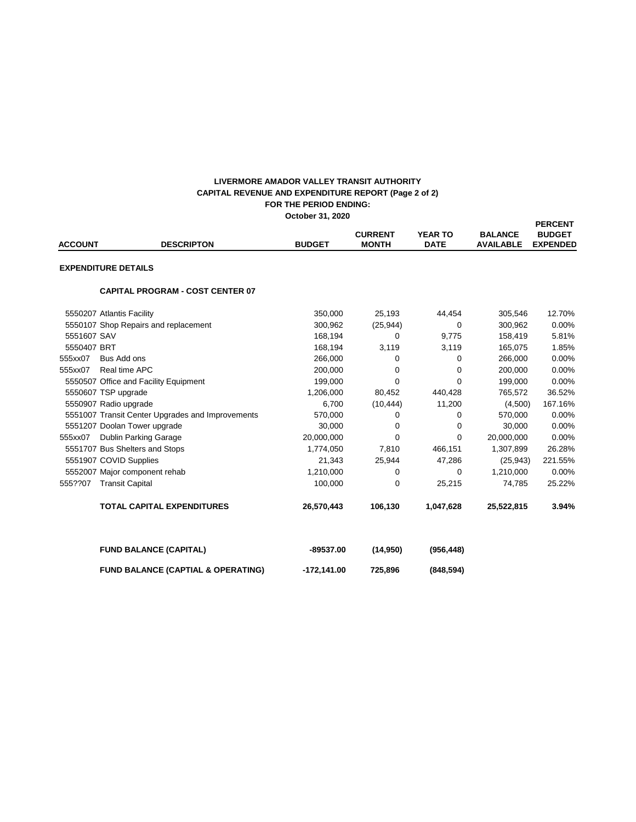#### **FOR THE PERIOD ENDING: October 31, 2020 LIVERMORE AMADOR VALLEY TRANSIT AUTHORITY CAPITAL REVENUE AND EXPENDITURE REPORT (Page 2 of 2)**

| <b>ACCOUNT</b> | <b>DESCRIPTON</b>                                | <b>BUDGET</b> | <b>CURRENT</b><br><b>MONTH</b> | <b>YEAR TO</b><br><b>DATE</b> | <b>BALANCE</b><br><b>AVAILABLE</b> | <b>PERCENT</b><br><b>BUDGET</b><br><b>EXPENDED</b> |
|----------------|--------------------------------------------------|---------------|--------------------------------|-------------------------------|------------------------------------|----------------------------------------------------|
|                | <b>EXPENDITURE DETAILS</b>                       |               |                                |                               |                                    |                                                    |
|                | <b>CAPITAL PROGRAM - COST CENTER 07</b>          |               |                                |                               |                                    |                                                    |
|                | 5550207 Atlantis Facility                        | 350,000       | 25,193                         | 44,454                        | 305,546                            | 12.70%                                             |
|                | 5550107 Shop Repairs and replacement             | 300,962       | (25, 944)                      | $\Omega$                      | 300,962                            | 0.00%                                              |
| 5551607 SAV    |                                                  | 168,194       | 0                              | 9,775                         | 158,419                            | 5.81%                                              |
| 5550407 BRT    |                                                  | 168,194       | 3,119                          | 3,119                         | 165,075                            | 1.85%                                              |
| 555xx07        | Bus Add ons                                      | 266,000       | 0                              | 0                             | 266,000                            | 0.00%                                              |
| 555xx07        | Real time APC                                    | 200,000       | 0                              | $\Omega$                      | 200,000                            | 0.00%                                              |
|                | 5550507 Office and Facility Equipment            | 199.000       | $\Omega$                       | $\Omega$                      | 199.000                            | 0.00%                                              |
|                | 5550607 TSP upgrade                              | 1,206,000     | 80,452                         | 440,428                       | 765,572                            | 36.52%                                             |
|                | 5550907 Radio upgrade                            | 6,700         | (10, 444)                      | 11,200                        | (4,500)                            | 167.16%                                            |
|                | 5551007 Transit Center Upgrades and Improvements | 570,000       | 0                              | $\Omega$                      | 570,000                            | 0.00%                                              |
|                | 5551207 Doolan Tower upgrade                     | 30,000        | 0                              | 0                             | 30,000                             | 0.00%                                              |
| 555xx07        | <b>Dublin Parking Garage</b>                     | 20,000,000    | $\Omega$                       | $\Omega$                      | 20,000,000                         | 0.00%                                              |
|                | 5551707 Bus Shelters and Stops                   | 1,774,050     | 7,810                          | 466,151                       | 1,307,899                          | 26.28%                                             |
|                | 5551907 COVID Supplies                           | 21,343        | 25,944                         | 47,286                        | (25, 943)                          | 221.55%                                            |
|                | 5552007 Major component rehab                    | 1,210,000     | 0                              | $\Omega$                      | 1,210,000                          | 0.00%                                              |
| 555??07        | <b>Transit Capital</b>                           | 100,000       | 0                              | 25,215                        | 74,785                             | 25.22%                                             |
|                | <b>TOTAL CAPITAL EXPENDITURES</b>                | 26,570,443    | 106,130                        | 1,047,628                     | 25,522,815                         | 3.94%                                              |
|                | <b>FUND BALANCE (CAPITAL)</b>                    | $-89537.00$   | (14,950)                       | (956, 448)                    |                                    |                                                    |
|                | <b>FUND BALANCE (CAPTIAL &amp; OPERATING)</b>    | $-172,141.00$ | 725,896                        | (848, 594)                    |                                    |                                                    |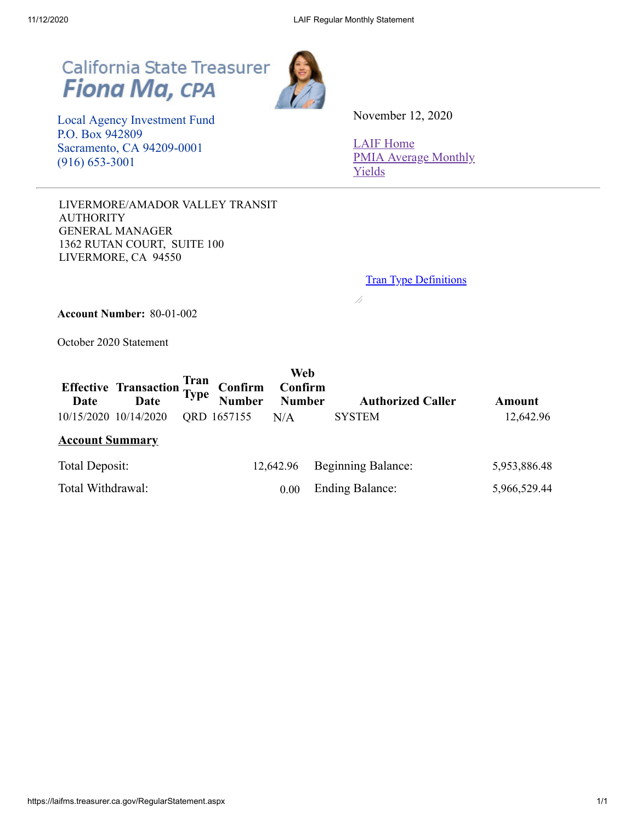# California State Treasurer<br>Fiona Ma, CPA



 Local Agency Investment Fund P.O. Box 942809 Sacramento, CA 94209-0001 (916) 653-3001

November 12, 2020

[LAIF Home](https://www.treasurer.ca.gov/pmia-laif/laif/index.asp) [PMIA Average Monthly](http://www.treasurer.ca.gov/pmia-laif/historical/avg_mn_ylds.asp) Yields

LIVERMORE/AMADOR VALLEY TRANSIT AUTHORITY GENERAL MANAGER 1362 RUTAN COURT, SUITE 100 LIVERMORE, CA 94550

**Tran Type [Definitions](https://laifms.treasurer.ca.gov/Transaction%20Types%20Regular.htm)** 

 $\overline{\mathscr{A}}$ 

**Account Number:** 80-01-002

October 2020 Statement

|                        | Effective Transaction Tran<br>Date Type Number Number |             | Web       | <b>Authorized Caller</b>  | Amount       |
|------------------------|-------------------------------------------------------|-------------|-----------|---------------------------|--------------|
| 10/15/2020 10/14/2020  |                                                       | QRD 1657155 | N/A       | <b>SYSTEM</b>             | 12,642.96    |
| <b>Account Summary</b> |                                                       |             |           |                           |              |
| Total Deposit:         |                                                       |             | 12,642.96 | <b>Beginning Balance:</b> | 5,953,886.48 |
| Total Withdrawal:      |                                                       |             | 0.00      | <b>Ending Balance:</b>    | 5,966,529.44 |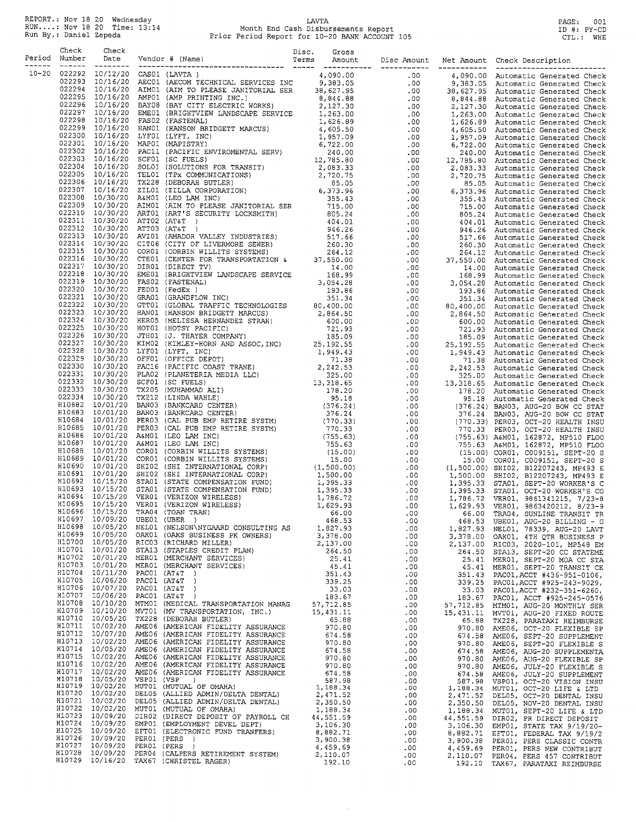REPORT.: Nov 18 20 Wednesday<br>RUN....: Nov 18 20 Time: 13:14<br>Run By.: Daniel Zepeda

# LAVTA<br>Month End Cash Disbursements Report<br>Prior Period Report for 10-20 BANK ACCOUNT 105

PAGE: 001<br>ID #: PY-CD<br>CTL.: WHE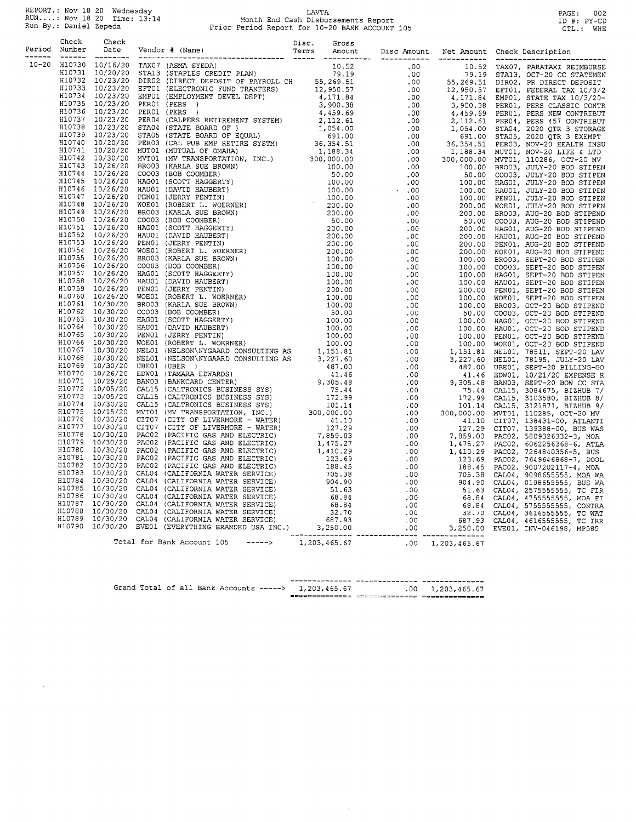REPORT.: Nov 18 20 Wednesday<br>RUN....: Nov 18 20 Time: 13:14<br>Run By.: Daniel Zepeda

 $\sim$ 

# LAVTA<br>Month End Cash Disbursements Report<br>Prior Period Report for 10-20 BANK ACCOUNT 105

PAGE: 002<br>ID #: PY-CD<br>CTL.: WHE

|       | Check         | Check |                                                |  |                          |  |  |
|-------|---------------|-------|------------------------------------------------|--|--------------------------|--|--|
|       | Period Number |       |                                                |  |                          |  |  |
| 10-20 |               |       |                                                |  |                          |  |  |
|       |               |       |                                                |  |                          |  |  |
|       |               |       |                                                |  |                          |  |  |
|       |               |       |                                                |  |                          |  |  |
|       |               |       |                                                |  |                          |  |  |
|       |               |       |                                                |  |                          |  |  |
|       |               |       |                                                |  |                          |  |  |
|       |               |       |                                                |  |                          |  |  |
|       |               |       |                                                |  |                          |  |  |
|       |               |       |                                                |  |                          |  |  |
|       |               |       |                                                |  |                          |  |  |
|       |               |       |                                                |  |                          |  |  |
|       |               |       |                                                |  |                          |  |  |
|       |               |       |                                                |  |                          |  |  |
|       |               |       |                                                |  |                          |  |  |
|       |               |       |                                                |  |                          |  |  |
|       |               |       |                                                |  |                          |  |  |
|       |               |       |                                                |  |                          |  |  |
|       |               |       |                                                |  |                          |  |  |
|       |               |       |                                                |  |                          |  |  |
|       |               |       |                                                |  |                          |  |  |
|       |               |       |                                                |  |                          |  |  |
|       |               |       |                                                |  |                          |  |  |
|       |               |       |                                                |  |                          |  |  |
|       |               |       |                                                |  |                          |  |  |
|       |               |       |                                                |  |                          |  |  |
|       |               |       |                                                |  |                          |  |  |
|       |               |       |                                                |  |                          |  |  |
|       |               |       |                                                |  |                          |  |  |
|       |               |       |                                                |  |                          |  |  |
|       |               |       |                                                |  |                          |  |  |
|       |               |       |                                                |  |                          |  |  |
|       |               |       |                                                |  |                          |  |  |
|       |               |       |                                                |  |                          |  |  |
|       |               |       |                                                |  |                          |  |  |
|       |               |       |                                                |  |                          |  |  |
|       |               |       |                                                |  |                          |  |  |
|       |               |       |                                                |  |                          |  |  |
|       |               |       |                                                |  |                          |  |  |
|       |               |       |                                                |  |                          |  |  |
|       |               |       |                                                |  |                          |  |  |
|       |               |       |                                                |  |                          |  |  |
|       |               |       |                                                |  |                          |  |  |
|       |               |       |                                                |  |                          |  |  |
|       |               |       |                                                |  |                          |  |  |
|       |               |       |                                                |  |                          |  |  |
|       |               |       |                                                |  |                          |  |  |
|       |               |       |                                                |  |                          |  |  |
|       |               |       |                                                |  |                          |  |  |
|       |               |       |                                                |  |                          |  |  |
|       |               |       |                                                |  |                          |  |  |
|       |               |       |                                                |  |                          |  |  |
|       |               |       |                                                |  |                          |  |  |
|       |               |       |                                                |  |                          |  |  |
|       |               |       |                                                |  |                          |  |  |
|       |               |       |                                                |  |                          |  |  |
|       |               |       |                                                |  |                          |  |  |
|       |               |       |                                                |  |                          |  |  |
|       |               |       |                                                |  |                          |  |  |
|       |               |       |                                                |  |                          |  |  |
|       |               |       |                                                |  |                          |  |  |
|       |               |       | Total for Bank Account 105 -----> 1,203,465.67 |  | $.00 \quad 1,203,465.67$ |  |  |
|       |               |       |                                                |  |                          |  |  |

|  |  |  | --------------                                       | --------------- -------------- |
|--|--|--|------------------------------------------------------|--------------------------------|
|  |  |  | Grand Total of all Bank Accounts -----> 1,203,465.67 | $.00 \quad 1.203.465.67$       |
|  |  |  |                                                      |                                |

 $\sim$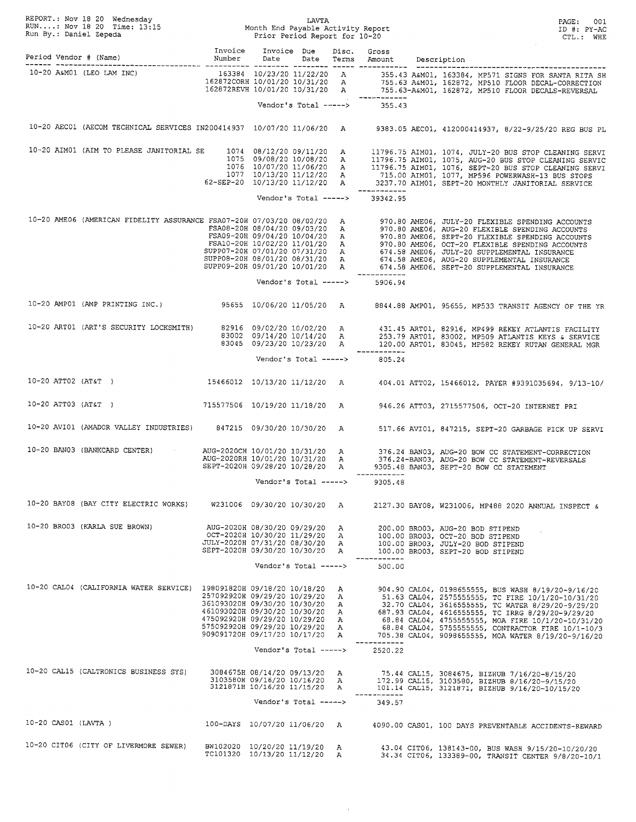| REPORT.: Nov 18 20 Wednesday<br>RUN: Nov 18 20 Time: 13:15<br>Run By.: Daniel Zepeda<br>Prior Period Report for 10-20<br>Prior Period Report for 10-20 |  |                                       |                                                                                                                                      |                       | PAGE: 001<br>ID #: PY-AC<br>CTL.: WHE |                                               |                                                                                                                                                                                                                                                                                                                                                                                                                                                                      |
|--------------------------------------------------------------------------------------------------------------------------------------------------------|--|---------------------------------------|--------------------------------------------------------------------------------------------------------------------------------------|-----------------------|---------------------------------------|-----------------------------------------------|----------------------------------------------------------------------------------------------------------------------------------------------------------------------------------------------------------------------------------------------------------------------------------------------------------------------------------------------------------------------------------------------------------------------------------------------------------------------|
|                                                                                                                                                        |  |                                       |                                                                                                                                      |                       |                                       |                                               |                                                                                                                                                                                                                                                                                                                                                                                                                                                                      |
|                                                                                                                                                        |  |                                       |                                                                                                                                      |                       |                                       |                                               | 10-20 A&M01 (LEO LAM INC)<br>162872CORH 10/01/20 10/31/20 A<br>162872CORH 10/01/20 10/31/20 A<br>162872REVH 10/01/20 10/31/20 A<br>162872REVH 10/01/20 10/31/20 A<br>1755.63-A&M01, 162872, MP510 FLOOR DECAL-CORRECTION<br>162872REVH 10/01/20                                                                                                                                                                                                                      |
|                                                                                                                                                        |  |                                       |                                                                                                                                      |                       |                                       | Vendor's Total -----> 355.43                  |                                                                                                                                                                                                                                                                                                                                                                                                                                                                      |
|                                                                                                                                                        |  |                                       |                                                                                                                                      |                       |                                       |                                               | 10-20 AECO1 (AECOM TECHNICAL SERVICES IN200414937 10/07/20 11/06/20 A 9383.05 AECO1, 412000414937, 8/22-9/25/20 REG BUS PL                                                                                                                                                                                                                                                                                                                                           |
|                                                                                                                                                        |  |                                       |                                                                                                                                      |                       |                                       |                                               | 1074 08/12/20 09/11/20 A 11796.75 AIM01, 1074, JULY-20 BUS STOP CLEANING SERVI<br>1075 09/08/20 10/08/20 A 11796.75 AIM01, 1075, AUG-20 BUS STOP CLEANING SERVIC<br>1076 10/07/20 11/06/20 A 11796.75 AIM01, 1075, AUG-20 BUS STOP C                                                                                                                                                                                                                                 |
|                                                                                                                                                        |  |                                       |                                                                                                                                      |                       |                                       | -------------                                 |                                                                                                                                                                                                                                                                                                                                                                                                                                                                      |
|                                                                                                                                                        |  |                                       |                                                                                                                                      |                       |                                       | Vendor's Total -----> 39342.95                |                                                                                                                                                                                                                                                                                                                                                                                                                                                                      |
|                                                                                                                                                        |  |                                       |                                                                                                                                      |                       |                                       |                                               | 10-20 AMENCAN FIDELITY ASSURANCE FSA07-20H 07/03/20 08/02/20 A<br>FSA08-20H 08/04/20 09/03/20 A<br>FSA08-20H 08/04/20 09/03/20 A<br>FSA09-20H 09/04/20 09/03/20 A<br>FSA10-20H 09/04/20 10/04/20 A<br>FSA10-20H 09/04/20 10/04/20 A<br>FSA                                                                                                                                                                                                                           |
|                                                                                                                                                        |  |                                       |                                                                                                                                      |                       |                                       |                                               |                                                                                                                                                                                                                                                                                                                                                                                                                                                                      |
|                                                                                                                                                        |  |                                       |                                                                                                                                      |                       |                                       | ------------<br>Vendor's Total -----> 5906.94 |                                                                                                                                                                                                                                                                                                                                                                                                                                                                      |
|                                                                                                                                                        |  |                                       |                                                                                                                                      |                       |                                       |                                               | 10-20 AMP01 (AMP PRINTING INC.) 95655 10/06/20 11/05/20 A 8844.88 AMP01, 95655, MP533 TRANSIT AGENCY OF THE YR                                                                                                                                                                                                                                                                                                                                                       |
|                                                                                                                                                        |  |                                       |                                                                                                                                      |                       |                                       |                                               | 10-20 ARTO1 (ART'S SECURITY LOCKSMITH) 82916 09/02/20 10/02/20 A 431.45 ARTO1, 82916, MP499 REKEY ATLANTIS FACILITY<br>83002 69/14/20 10/14/20 A 253.79 ARTO1, 83002, MP509 ATLANTIS KEYS & SERVICE<br>83045 MP582 REKEY RUTAN GENER                                                                                                                                                                                                                                 |
|                                                                                                                                                        |  |                                       |                                                                                                                                      |                       |                                       | Vendor's Total -----> $805.24$                |                                                                                                                                                                                                                                                                                                                                                                                                                                                                      |
|                                                                                                                                                        |  |                                       |                                                                                                                                      |                       |                                       |                                               | 10-20 ATT02 (AT&T) 15466012 10/13/20 11/12/20 A 404.01 ATT02, 15466012, PAYER #9391035694, 9/13-10/                                                                                                                                                                                                                                                                                                                                                                  |
|                                                                                                                                                        |  |                                       |                                                                                                                                      |                       |                                       |                                               | 10-20 ATT03 (AT&T) 715577506 10/19/20 11/18/20 A 946.26 ATT03, 2715577506, OCT-20 INTERNET PRI                                                                                                                                                                                                                                                                                                                                                                       |
|                                                                                                                                                        |  |                                       |                                                                                                                                      |                       |                                       |                                               | 10-20 AVIO1 (AMADOR VALLEY INDUSTRIES) 847215 09/30/20 10/30/20 A 517.66 AVIO1, 847215, SEPT-20 GARBAGE PICK UP SERVI                                                                                                                                                                                                                                                                                                                                                |
|                                                                                                                                                        |  |                                       |                                                                                                                                      |                       |                                       | ____________                                  | AUG-2020CH 10/01/20 10/31/20 A 376.24 BANO3, AUG-20 BOW CC STATEMENT-CORRECTION<br>AUG-2020RH 10/01/20 10/31/20 A 376.24-BANO3, AUG-20 BOW CC STATEMENT-REVERSALS<br>SEPT-2020H 09/28/20 10/28/20 A 9305.48 BANO3, SEPT-20 BOW CC ST                                                                                                                                                                                                                                 |
|                                                                                                                                                        |  |                                       |                                                                                                                                      | Vendor's Total -----> |                                       | 9305.48                                       |                                                                                                                                                                                                                                                                                                                                                                                                                                                                      |
|                                                                                                                                                        |  |                                       |                                                                                                                                      |                       |                                       |                                               | 10-20 BAY08 (BAY CITY ELECTRIC WORKS) W231006 09/30/20 10/30/20 A 2127.30 BAY08, W231006, MP488 2020 ANNUAL INSPECT &                                                                                                                                                                                                                                                                                                                                                |
|                                                                                                                                                        |  | 10-20 BRO03 (KARLA SUE BROWN)         |                                                                                                                                      |                       |                                       |                                               | AUG-2020H 08/30/20 09/29/20 A 200.00 BRO03, AUG-20 BOD STIPEND<br>OCT-2020H 10/30/20 11/29/20 A 100.00 BRO03, OCT-20 BOD STIPEND<br>JULY-2020H 07/31/20 08/30/20 A 100.00 BRO03, JULY-20 BOD STIPEND<br>SEPT-2020H 09/30/20 10/30/20 A 100.00 BRO03, SEPT-20 BOD STIPEND                                                                                                                                                                                             |
|                                                                                                                                                        |  |                                       |                                                                                                                                      |                       |                                       | Vendor's Total -----> 500.00                  |                                                                                                                                                                                                                                                                                                                                                                                                                                                                      |
|                                                                                                                                                        |  |                                       | 257092920H 09/29/20 10/29/20 A<br>361093020H 09/30/20 10/30/20 A<br>475092920H 09/29/20 10/29/20 A<br>575092920H 09/29/20 10/29/20 A |                       |                                       |                                               | 10-20 CAL04 (CALIFORNIA WATER SERVICE) 198091820H 09/18/20 10/18/20 A 904.90 CAL04, 0198655555, BUS WASH 8/19/20-9/16/20<br>51.63 CAL04, 2575555555, TC FIRE 10/1/20-10/31/20<br>32.70 CAL04, 3616555555, TC WATER 8/29/20-9/29/20<br>461093020H 09/30/20 10/30/20 A 687.93 CAL04, 4616555555, TC IRRG 8/29/20-9/29/20<br>475093020H 09/30/20 10/30/20 R<br>68.84 CAL04, 4755555555, MOA FIRE 10/1/20-10/31/20<br>68.84 CAL04, 5755555555, CONTRACTOR FIRE 10/1-10/3 |
|                                                                                                                                                        |  |                                       | 909091720H 09/17/20 10/17/20 A                                                                                                       |                       |                                       | ------------                                  | 705.38 CAL04, 9098655555, MOA WATER 8/19/20-9/16/20                                                                                                                                                                                                                                                                                                                                                                                                                  |
|                                                                                                                                                        |  |                                       |                                                                                                                                      |                       |                                       | Vendor's Total -----> 2520.22                 |                                                                                                                                                                                                                                                                                                                                                                                                                                                                      |
|                                                                                                                                                        |  | 10-20 CAL15 (CALTRONICS BUSINESS SYS) |                                                                                                                                      |                       |                                       | ------------                                  | 3084675R 08/14/20 09/13/20 A 75.44 CAL15, 3084675, BIZHUB 7/16/20-8/15/20<br>3103580R 09/16/20 10/16/20 A 172.99 CAL15, 3103580, BIZHUB 8/16/20-9/15/20<br>3121871R 10/16/20 11/15/20 A 101.14 CAL15, 3121871, BIZHUB 9/16/20-10/15/                                                                                                                                                                                                                                 |
|                                                                                                                                                        |  |                                       |                                                                                                                                      |                       |                                       | Vendor's Total -----> 349.57                  |                                                                                                                                                                                                                                                                                                                                                                                                                                                                      |
|                                                                                                                                                        |  | $10-20$ CAS01 (LAVTA)                 |                                                                                                                                      |                       |                                       |                                               | 100-DAYS 10/07/20 11/06/20 A 4090.00 CAS01, 100 DAYS PREVENTABLE ACCIDENTS-REWARD                                                                                                                                                                                                                                                                                                                                                                                    |
|                                                                                                                                                        |  | 10-20 CIT06 (CITY OF LIVERMORE SEWER) | BW102020 10/20/20 11/19/20 A<br>TC101320 10/13/20 11/12/20 A                                                                         |                       |                                       |                                               | 43.04 CIT06, 138143-00, BUS WASH 9/15/20-10/20/20<br>34.34 CIT06, 133389-00, TRANSIT CENTER 9/8/20-10/1                                                                                                                                                                                                                                                                                                                                                              |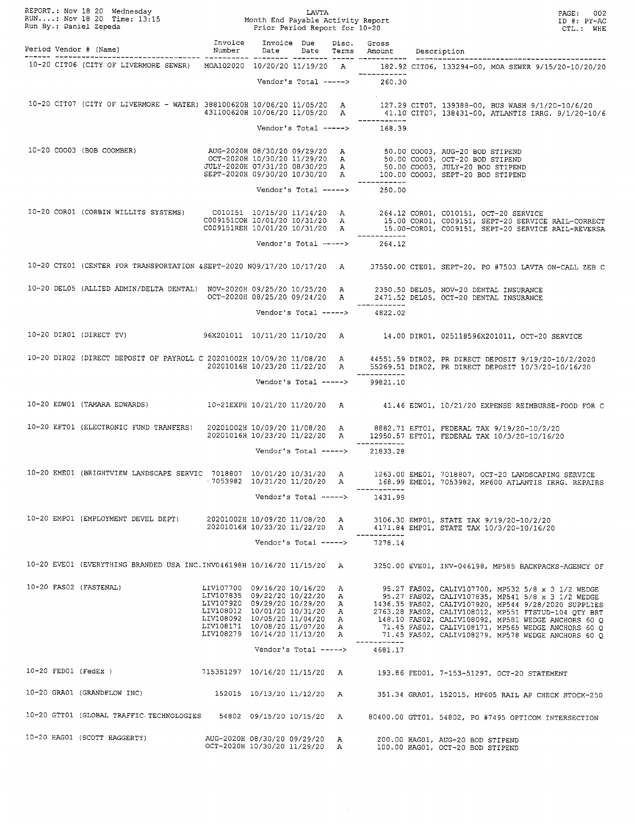|  | REPORT.: Nov 18 20 Wednesday<br>RUN: Nov 18 20 Time: 13:15 Month End Payable Activity Report<br>Run By.: Daniel Zepeda Prior Period Report for 10-20                                                                           |                                                                |                              |  |                                               | PAGE: 002<br>ID #: PY-AC<br>CTL.: WHE                                                                                                                                                                                                |
|--|--------------------------------------------------------------------------------------------------------------------------------------------------------------------------------------------------------------------------------|----------------------------------------------------------------|------------------------------|--|-----------------------------------------------|--------------------------------------------------------------------------------------------------------------------------------------------------------------------------------------------------------------------------------------|
|  |                                                                                                                                                                                                                                |                                                                |                              |  |                                               |                                                                                                                                                                                                                                      |
|  |                                                                                                                                                                                                                                |                                                                |                              |  |                                               | 10-20 CIT06 (CITY OF LIVERMORE SEWER) MOA102020 10/20/20 11/19/20 A 182.92 CIT06, 133294-00, MOA SEWER 9/15/20-10/20/20                                                                                                              |
|  |                                                                                                                                                                                                                                |                                                                |                              |  | Vendor's Total -----> 260.30                  |                                                                                                                                                                                                                                      |
|  |                                                                                                                                                                                                                                |                                                                |                              |  |                                               | 10-20 CIT07 (CITY OF LIVERMORE - WATER) 388100620H 10/06/20 11/05/20 A 127.29 CIT07, 139388-00, BUS WASH 9/1/20-10/6/20<br>431100620H 10/06/20 11/05/20 A 41.10 CIT07, 138431-00, ATLANTIS IRRG. 9/1/20-10/6                         |
|  |                                                                                                                                                                                                                                |                                                                | Vendor's Total ----->        |  | ------------<br>168.39                        |                                                                                                                                                                                                                                      |
|  |                                                                                                                                                                                                                                |                                                                |                              |  |                                               |                                                                                                                                                                                                                                      |
|  | AUG-2020B (BOB COOMBER) AUG-2020B ANG-2020B AUG-2020B AUG-2020B AUG-2020B AUG-2020B AUG-2020B AUG-2020B AUG-2020B AUG-2020B AUG-2020B AUG-2020B AUG-2020B AUG-2020B AUG-2020B AUG-2020B AUG-2020B AUG-2020B AUG-2020B AUG-2020 |                                                                |                              |  |                                               |                                                                                                                                                                                                                                      |
|  |                                                                                                                                                                                                                                |                                                                |                              |  | ____________<br>Vendor's Total -----> 250.00  |                                                                                                                                                                                                                                      |
|  |                                                                                                                                                                                                                                |                                                                |                              |  |                                               |                                                                                                                                                                                                                                      |
|  |                                                                                                                                                                                                                                |                                                                |                              |  |                                               | 10-20 CORO1 (CORBIN WILLITS SYSTEMS) CO10151 10/15/20 11/14/20 A 264.12 CORO1, CO10151, OCT-20 SERVICE<br>COO9151COR 10/01/20 10/31/20 A 15.00 CORO1, COO9151, SEPT-20 SERVICE RAIL-CORRECT<br>COO9151REH 10/01/20 10/31/20 A 15.00- |
|  |                                                                                                                                                                                                                                |                                                                |                              |  | Vendor's Total -----> 264.12                  |                                                                                                                                                                                                                                      |
|  |                                                                                                                                                                                                                                |                                                                |                              |  |                                               |                                                                                                                                                                                                                                      |
|  |                                                                                                                                                                                                                                |                                                                |                              |  |                                               | 10-20 CTE01 (CENTER FOR TRANSPORTATION &SEPT-2020 N09/17/20 10/17/20 A 37550.00 CTE01, SEPT-20, PO #7503 LAVTA ON-CALL ZEB C                                                                                                         |
|  | 10-20 DELO5 (ALLIED ADMIN/DELTA DENTAL) NOV-2020H 09/25/20 10/25/20 A 2350.50 DELO5, NOV-20 DENTAL INSURANCE<br>OCT-2020H 08/25/20 09/24/20 A 2471.52 DELO5, OCT-20 DENTAL INSURANCE                                           |                                                                |                              |  |                                               |                                                                                                                                                                                                                                      |
|  |                                                                                                                                                                                                                                |                                                                |                              |  | Vendor's Total -----> 4822.02                 |                                                                                                                                                                                                                                      |
|  |                                                                                                                                                                                                                                |                                                                |                              |  |                                               | 10-20 DIRO1 (DIRECT TV) 96X201011 10/11/20 11/10/20 A 14.00 DIRO1, 025118596X201011, OCT-20 SERVICE                                                                                                                                  |
|  |                                                                                                                                                                                                                                |                                                                |                              |  |                                               | 10-20 DIRO2 (DIRECT DEPOSIT OF PAYROLL C 20201002H 10/09/20 11/08/20 A 44551.59 DIRO2, PR DIRECT DEPOSIT 9/19/20-10/2/2020<br>20201016H 10/23/20 11/22/20 A 55269.51 DIRO2, PR DIRECT DEPOSIT 10/3/20-10/16/20                       |
|  |                                                                                                                                                                                                                                |                                                                |                              |  | Vendor's Total -----> 99821.10                |                                                                                                                                                                                                                                      |
|  |                                                                                                                                                                                                                                |                                                                |                              |  |                                               | 10-20 EDW01 (TAMARA EDWARDS) 10-21EXPH 10/21/20 11/20/20 A 41.46 EDW01, 10/21/20 EXPENSE REIMBURSE-FOOD FOR C                                                                                                                        |
|  |                                                                                                                                                                                                                                |                                                                |                              |  |                                               |                                                                                                                                                                                                                                      |
|  |                                                                                                                                                                                                                                |                                                                |                              |  | ____________                                  | 10-20 EFT01 (ELECTRONIC FUND TRANFERS) 20201002H 10/09/20 11/08/20 A 8882.71 EFT01, FEDERAL TAX 9/19/20-10/2/20<br>20201016H 10/23/20 11/22/20 A 12950.57 EFT01, FEDERAL TAX 10/3/20-10/16/20                                        |
|  |                                                                                                                                                                                                                                |                                                                |                              |  | Vendor's Total -----> 21833.28                |                                                                                                                                                                                                                                      |
|  | 10-20 EME01 (BRIGHTVIEW LANDSCAPE SERVIC 7018807 10/01/20 10/31/20 A                                                                                                                                                           |                                                                | ·7053982 10/21/20 11/20/20 A |  |                                               | 1263.00 EME01, 7018807, OCT-20 LANDSCAPING SERVICE<br>168.99 EME01, 7053982, MP600 ATLANTIS IRRG. REPAIRS                                                                                                                            |
|  |                                                                                                                                                                                                                                |                                                                |                              |  | ------------<br>Vendor's Total -----> 1431.99 |                                                                                                                                                                                                                                      |
|  | 10-20 EMP01 (EMPLOYMENT DEVEL DEPT)                                                                                                                                                                                            |                                                                |                              |  |                                               | 20201002H 10/09/20 11/08/20 A 3106.30 EMP01, STATE TAX 9/19/20-10/2/20<br>20201016H 10/23/20 11/22/20 A 4171.84 EMP01, STATE TAX 10/3/20-10/16/20                                                                                    |
|  |                                                                                                                                                                                                                                |                                                                |                              |  | ------------<br>Vendor's Total -----> 7278.14 |                                                                                                                                                                                                                                      |
|  |                                                                                                                                                                                                                                |                                                                |                              |  |                                               |                                                                                                                                                                                                                                      |
|  |                                                                                                                                                                                                                                |                                                                |                              |  |                                               | 10-20 EVE01 (EVERYTHING BRANDED USA INC.INV046198H 10/16/20 11/15/20 A 3250.00 EVE01, INV-046198, MP585 BACKPACKS-AGENCY OF                                                                                                          |
|  | 10-20 FAS02 (FASTENAL)                                                                                                                                                                                                         | LIV107700 09/16/20 10/16/20 A                                  |                              |  |                                               | 95.27 FAS02, CALIV107700, MP532 5/8 x 3 1/2 WEDGE                                                                                                                                                                                    |
|  |                                                                                                                                                                                                                                |                                                                |                              |  |                                               | LIV107835 09/22/20 10/22/20 A 95.27 FAS02, CALIV107920, MP544 9/28/2020 SUPPLIES<br>LIV107920 09/29/20 10/29/20 A 1436.35 FAS02, CALIV107920, MP544 9/28/2020 SUPPLIES<br>LIV108012 10/01/20 10/31/20 A 2763.28 FAS02, CALIV108012,  |
|  |                                                                                                                                                                                                                                | LIV108092 10/05/20 11/04/20 A<br>LIV108171 10/08/20 11/07/20 A |                              |  |                                               | 148.10 FAS02, CALIV108092, MP581 WEDGE ANCHORS 60 Q<br>71.45 FAS02, CALIV108171, MP565 WEDGE ANCHORS 60 Q                                                                                                                            |
|  |                                                                                                                                                                                                                                | LIV108279 10/14/20 11/13/20 A                                  |                              |  |                                               | 71.45 FAS02, CALIV108279, MP578 WEDGE ANCHORS 60 Q                                                                                                                                                                                   |
|  |                                                                                                                                                                                                                                |                                                                |                              |  | Vendor's Total -----> $4681.17$               |                                                                                                                                                                                                                                      |
|  |                                                                                                                                                                                                                                |                                                                |                              |  |                                               | 10-20 FED01 (FedEx ) 715351297 10/16/20 11/15/20 A 193.86 FED01, 7-153-51297, OCT-20 STATEMENT                                                                                                                                       |
|  |                                                                                                                                                                                                                                |                                                                |                              |  |                                               | 10-20 GRA01 (GRANDFLOW INC) 152015 10/13/20 11/12/20 A 351.34 GRA01, 152015, MP605 RAIL AP CHECK STOCK-250                                                                                                                           |
|  | 10-20 GTT01 (GLOBAL TRAFFIC TECHNOLOGIES 54802 09/15/20 10/15/20 A                                                                                                                                                             |                                                                |                              |  |                                               | 80400.00 GTT01, 54802, PO #7495 OPTICOM INTERSECTION                                                                                                                                                                                 |
|  | 10-20 HAG01 (SCOTT HAGGERTY) AUG-2020H 08/30/20 09/29/20 A                                                                                                                                                                     |                                                                |                              |  |                                               | 200.00 HAG01, AUG-20 BOD STIPEND<br>OCT-2020H 10/30/20 11/29/20 A 100.00 HAG01, OCT-20 BOD STIPEND                                                                                                                                   |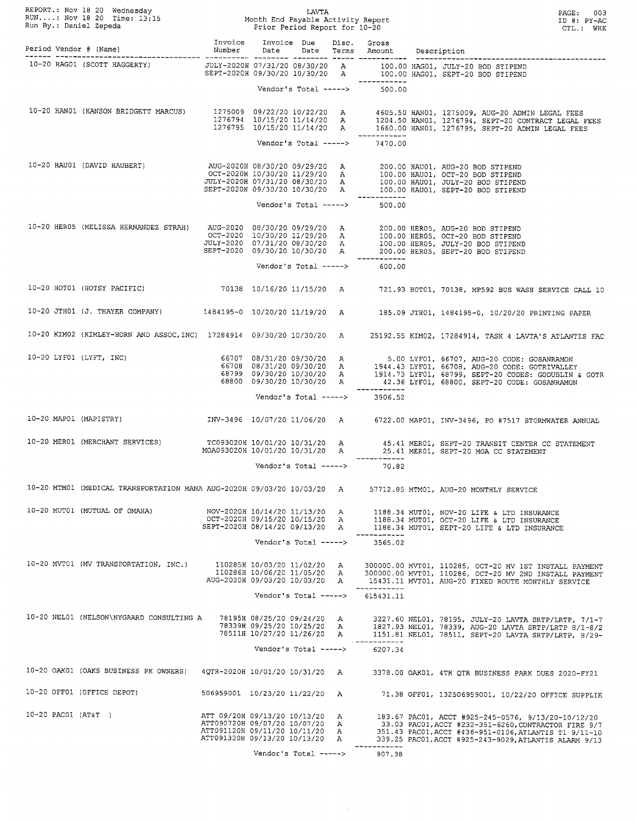|                      |                                                                                                                                                                                                                                      |                                                                                                                                      |                                                                                          |                       |  | REPORT.: Nov 18 20 Wednesday<br>RUN: Nov 18 20 Time: 13:15 Month End Payable Activity Report<br>Run By.: Daniel Zepeda<br>Period Vendor # (Name) Mumber Date Date Terms Amount<br>The CTL.: WHE<br>The CTL.: WHE<br>The Date Date Term |                                                                                                                                                                                                                                                                                                                                     |
|----------------------|--------------------------------------------------------------------------------------------------------------------------------------------------------------------------------------------------------------------------------------|--------------------------------------------------------------------------------------------------------------------------------------|------------------------------------------------------------------------------------------|-----------------------|--|----------------------------------------------------------------------------------------------------------------------------------------------------------------------------------------------------------------------------------------|-------------------------------------------------------------------------------------------------------------------------------------------------------------------------------------------------------------------------------------------------------------------------------------------------------------------------------------|
|                      |                                                                                                                                                                                                                                      |                                                                                                                                      |                                                                                          |                       |  |                                                                                                                                                                                                                                        |                                                                                                                                                                                                                                                                                                                                     |
|                      |                                                                                                                                                                                                                                      |                                                                                                                                      |                                                                                          |                       |  |                                                                                                                                                                                                                                        |                                                                                                                                                                                                                                                                                                                                     |
|                      |                                                                                                                                                                                                                                      |                                                                                                                                      |                                                                                          |                       |  | Vendor's Total -----> 500.00                                                                                                                                                                                                           |                                                                                                                                                                                                                                                                                                                                     |
|                      |                                                                                                                                                                                                                                      |                                                                                                                                      |                                                                                          |                       |  |                                                                                                                                                                                                                                        | 10-20 HANO1 (HANSON BRIDGETT MARCUS) 1275009 09/22/20 10/22/20 A 1605.50 HANO1, 1275009, AUG-20 ADMIN LEGAL FEES<br>1276794 10/15/20 11/14/20 A 1204.50 HANO1, 1276794, SEPT-20 CONTRACT LEGAL FEES<br>1276795 10/15/20 11/14/20 A 1                                                                                                |
|                      |                                                                                                                                                                                                                                      |                                                                                                                                      |                                                                                          |                       |  | Vendor's Total -----> $7470.00$                                                                                                                                                                                                        |                                                                                                                                                                                                                                                                                                                                     |
|                      | AUG-2020H 08/30/20 09/29/20 A 200.00 HAU01 (DAVID HAUBERT) AUG-2020H 08/30/20 09/29/20 A 200.00 HAU01, AUG-20 BOD STIPEND<br>OCT-2020H 10/30/20 11/29/20 A 100.00 HAU01, OCT-20 BOD STIPEND<br>JULY-2020H 07/31/20 08/30/20 A 100.00 |                                                                                                                                      |                                                                                          |                       |  |                                                                                                                                                                                                                                        |                                                                                                                                                                                                                                                                                                                                     |
|                      |                                                                                                                                                                                                                                      |                                                                                                                                      |                                                                                          |                       |  | Vendor's Total -----> 500.00                                                                                                                                                                                                           |                                                                                                                                                                                                                                                                                                                                     |
|                      | 10-20 HERO5, AUG-20 HERO5, AUG-20 DB STIPEND (MELISSA HERNANDEZ STRAH) AUG-2020 08/30/20 09/29/20 A 200.00 HERO5, AUG-20 BOD STIPEND OCT-2020 10/30/20 11/29/20 A 100.00 HERO5, OCT-20 BOD STIPEND OCT-2020 07/31/20 08/30/20        |                                                                                                                                      |                                                                                          |                       |  |                                                                                                                                                                                                                                        |                                                                                                                                                                                                                                                                                                                                     |
|                      |                                                                                                                                                                                                                                      |                                                                                                                                      | Vendor's Total ----->                                                                    |                       |  | 600.00                                                                                                                                                                                                                                 |                                                                                                                                                                                                                                                                                                                                     |
|                      |                                                                                                                                                                                                                                      |                                                                                                                                      |                                                                                          |                       |  |                                                                                                                                                                                                                                        | 10-20 HOT01 (HOTSY PACIFIC) 70138 10/16/20 11/15/20 A 721.93 HOT01, 70138, MP592 BUS WASH SERVICE CALL 10                                                                                                                                                                                                                           |
|                      |                                                                                                                                                                                                                                      |                                                                                                                                      |                                                                                          |                       |  |                                                                                                                                                                                                                                        | 10-20 JTH01 (J. THAYER COMPANY) 1484195-0 10/20/20 11/19/20 A 185.09 JTH01, 1484195-0, 10/20/20 PRINTING PAPER                                                                                                                                                                                                                      |
|                      |                                                                                                                                                                                                                                      |                                                                                                                                      |                                                                                          |                       |  |                                                                                                                                                                                                                                        | 10-20 KIMO2 (KIMLEY-HORN AND ASSOC, INC) 17284914 09/30/20 10/30/20 A 25192.55 KIMO2, 17284914, TASK 4 LAVTA'S ATLANTIS FAC                                                                                                                                                                                                         |
|                      |                                                                                                                                                                                                                                      |                                                                                                                                      |                                                                                          |                       |  |                                                                                                                                                                                                                                        | $\begin{array}{cccccc} 10\hbox{-}20 \text{ LYF01 (LYFT, INC)} & & & & & 66707 & 08/31/20 & 09/30/20 & \text{A} & & 5.00 \text{ LYF01, 66707, AUG-20 CODE: GOSANKAMON} \\ & & & & & & 66708 & 08/31/20 & 09/30/20 & \text{A} & & 1944.43 \text{ LYF01, 66708, AUG-20 CODE: GORIVALLEY} \\ & & & & & & 68799 & 09/30/20 & 10/30/20 &$ |
|                      |                                                                                                                                                                                                                                      |                                                                                                                                      |                                                                                          |                       |  | --------------<br>Vendor's Total -----> 3906.52                                                                                                                                                                                        |                                                                                                                                                                                                                                                                                                                                     |
|                      |                                                                                                                                                                                                                                      |                                                                                                                                      |                                                                                          |                       |  |                                                                                                                                                                                                                                        | 10-20 MAP01 (MAPISTRY) MV-3496 10/07/20 11/06/20 A 6722.00 MAP01, INV-3496, PO #7517 STORMWATER ANNUAL                                                                                                                                                                                                                              |
|                      | 10-20 MER01 (MERCHANT SERVICES)                                                                                                                                                                                                      |                                                                                                                                      |                                                                                          |                       |  | ------------                                                                                                                                                                                                                           | TC093020H 10/01/20 10/31/20 A 45.41 MERO1, SEPT-20 TRANSIT CENTER CC STATEMENT<br>MOA093020H 10/01/20 10/31/20 A 25.41 MERO1, SEPT-20 MOA CC STATEMENT                                                                                                                                                                              |
|                      |                                                                                                                                                                                                                                      |                                                                                                                                      |                                                                                          |                       |  | Vendor's Total -----> 70.82                                                                                                                                                                                                            |                                                                                                                                                                                                                                                                                                                                     |
|                      | 10-20 MTM01 (MEDICAL TRANSPORTATION MANA AUG-2020H 09/03/20 10/03/20 A                                                                                                                                                               |                                                                                                                                      |                                                                                          |                       |  |                                                                                                                                                                                                                                        | 57712.85 MTM01, AUG-20 MONTHLY SERVICE                                                                                                                                                                                                                                                                                              |
|                      | 10-20 MUT01 (MUTUAL OF OMAHA)                                                                                                                                                                                                        | OCT-2020H 09/15/20 10/15/20 A<br>SEPT-2020H 08/14/20 09/13/20 A                                                                      |                                                                                          |                       |  |                                                                                                                                                                                                                                        | NOV-2020H 10/14/20 11/13/20 A 1188.34 MUT01, NOV-20 LIFE & LTD INSURANCE<br>1188.34 MUT01, OCT-20 LIFE & LTD INSURANCE<br>1188.34 MUTO1, SEPT-20 LIFE & LTD INSURANCE                                                                                                                                                               |
|                      |                                                                                                                                                                                                                                      |                                                                                                                                      |                                                                                          | Vendor's Total -----> |  | 3565.02                                                                                                                                                                                                                                |                                                                                                                                                                                                                                                                                                                                     |
|                      | 10-20 MVT01 (MV TRANSPORTATION, INC.)                                                                                                                                                                                                | 110285H 10/03/20 11/02/20   A<br>AUG-2020H 09/03/20 10/03/20 A                                                                       | 110286H 10/06/20 11/05/20 A                                                              |                       |  | -----------                                                                                                                                                                                                                            | 300000.00 MVT01, 110285, OCT-20 MV 1ST INSTALL PAYMENT<br>300000.00 MVT01, 110286, OCT-20 MV 2ND INSTALL PAYMENT<br>15431.11 MVT01, AUG-20 FIXED ROUTE MONTHLY SERVICE                                                                                                                                                              |
|                      |                                                                                                                                                                                                                                      |                                                                                                                                      |                                                                                          | Vendor's Total -----> |  | 615431.11                                                                                                                                                                                                                              |                                                                                                                                                                                                                                                                                                                                     |
|                      | 10-20 NEL01 (NELSON\NYGAARD CONSULTING A                                                                                                                                                                                             |                                                                                                                                      | 78195H 08/25/20 09/24/20   A<br>78339H 09/25/20 10/25/20 A<br>78511H 10/27/20 11/26/20 A |                       |  |                                                                                                                                                                                                                                        | 3227.60 NEL01, 78195, JULY-20 LAVTA SRTP/LRTP, 7/1-7<br>1827.93 NEL01, 78339, AUG-20 LAVTA SRTP/LRTP 8/1-8/2<br>1151.81 NEL01, 78511, SEPT-20 LAVTA SRTP/LRTP, 8/29-                                                                                                                                                                |
|                      |                                                                                                                                                                                                                                      |                                                                                                                                      |                                                                                          | Vendor's Total -----> |  | 6207.34                                                                                                                                                                                                                                |                                                                                                                                                                                                                                                                                                                                     |
|                      |                                                                                                                                                                                                                                      |                                                                                                                                      |                                                                                          |                       |  |                                                                                                                                                                                                                                        | 10-20 OAK01 (OAKS BUSINESS PK OWNERS) 4QTR-2020H 10/01/20 10/31/20 A 3378.00 OAK01, 4TH QTR BUSINESS PARK DUES 2020-FY21                                                                                                                                                                                                            |
|                      | 10-20 OFF01 (OFFICE DEPOT)                                                                                                                                                                                                           | 506959001 10/23/20 11/22/20 A                                                                                                        |                                                                                          |                       |  |                                                                                                                                                                                                                                        | 71.38 OFF01, 132506959001, 10/22/20 OFFICE SUPPLIE                                                                                                                                                                                                                                                                                  |
| $10-20$ PAC01 (AT&T) |                                                                                                                                                                                                                                      | ATT 09/20H 09/13/20 10/13/20 A<br>ATT090720H 09/07/20 10/07/20 A<br>ATT091120H 09/11/20 10/11/20 A<br>ATT091320H 09/13/20 10/13/20 A |                                                                                          |                       |  |                                                                                                                                                                                                                                        | 183.67 PAC01, ACCT #925-245-0576, 9/13/20-10/12/20<br>33.03 PAC01, ACCT #232-351-6260, CONTRACTOR FIRE 9/7<br>351.43 PAC01, ACCT #436-951-0106, ATLANTIS T1 9/11-10<br>339.25 PAC01, ACCT #925-243-9029, ATLANTIS ALARM 9/13                                                                                                        |
|                      |                                                                                                                                                                                                                                      |                                                                                                                                      | Vendor's Total ----->                                                                    |                       |  | 907.38                                                                                                                                                                                                                                 |                                                                                                                                                                                                                                                                                                                                     |

 $\epsilon$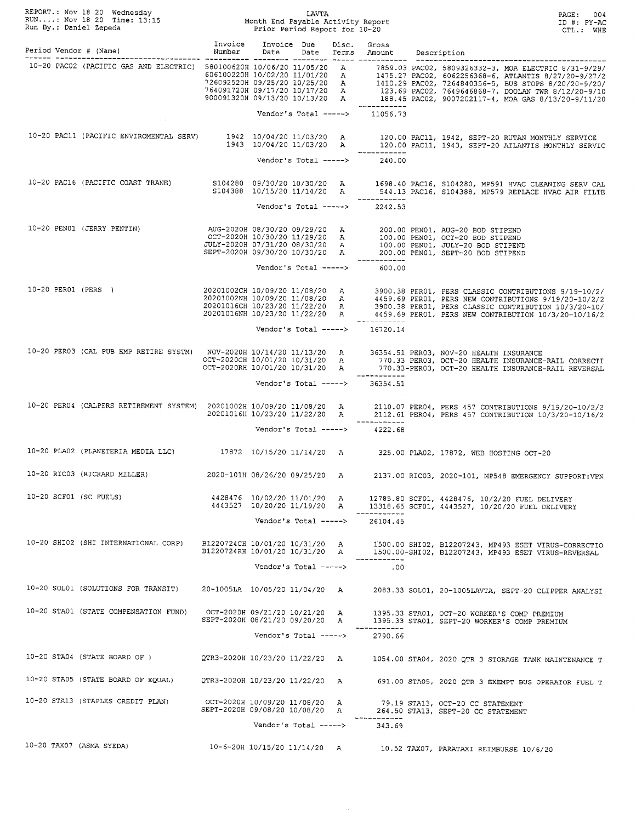| REPORT.: Nov 18 20 Wednesday<br>RUN: Nov 18 20 Time: 13:15 Month End Payable Activity Report<br>Run By.: Daniel Zepeda Music Prior Period Report for 10-20                                                                           |                                                                 |                               |  |                                                 | LAVTA<br>Month End Payable Activity Report<br>Prior Period Report for 10-20<br>PAGE: 004<br>ID #: PY-AC<br>CTL.: WHE                                                                                                                                      |  |  |
|--------------------------------------------------------------------------------------------------------------------------------------------------------------------------------------------------------------------------------------|-----------------------------------------------------------------|-------------------------------|--|-------------------------------------------------|-----------------------------------------------------------------------------------------------------------------------------------------------------------------------------------------------------------------------------------------------------------|--|--|
| Period Vendor # (Name) Mumber Date                                                                                                                                                                                                   | Invoice Invoice Due Disc. Gross                                 |                               |  |                                                 | Date Terms Amount Description                                                                                                                                                                                                                             |  |  |
|                                                                                                                                                                                                                                      |                                                                 |                               |  | -------------<br>Vendor's Total -----> 11056.73 | -20 PAC02 (PACIFIC GAS AND ELECTRIC) 580100620H 10/06/20 11/05/20 11/05/20 A 7859.03 PAC02, 5809326332-3, MOA ELECTRIC 8/31-9/29/<br>606100220H 10/02/20 11/01/20 A 1475.27 PAC02, 6062256368-6, ATLANTIS 8/27/20-9/27/2<br>72609252                      |  |  |
|                                                                                                                                                                                                                                      |                                                                 |                               |  |                                                 |                                                                                                                                                                                                                                                           |  |  |
|                                                                                                                                                                                                                                      |                                                                 |                               |  | Vendor's Total -----> $240.00$                  | 10-20 PAC11 (PACIFIC ENVIROMENTAL SERV) 1942 10/04/20 11/03/20 A 120.00 PAC11, 1942, SEPT-20 RUTAN MONTHLY SERVICE<br>1943 10/04/20 11/03/20 A 120.00 PAC11, 1943, SEPT-20 ATLANTIS MONTHLY SERVIC                                                        |  |  |
|                                                                                                                                                                                                                                      |                                                                 |                               |  | ------------                                    | 10-20 PAC16 (PACIFIC COAST TRANE) S104280 09/30/20 10/30/20 A 1698.40 PAC16, S104280, MP591 HVAC CLEANING SERV CAL<br>S104388 10/15/20 11/14/20 A 544.13 PAC16, S104388, MP579 REPLACE HVAC AIR FILTE                                                     |  |  |
|                                                                                                                                                                                                                                      |                                                                 |                               |  | Vendor's Total -----> 2242.53                   |                                                                                                                                                                                                                                                           |  |  |
| AUG-2020H 08/30/20 09/29/20 A 200.00 PENO1 (JERRY PENTIN) AUG-2020H 08/30/20 09/29/20 A 200.00 PENO1 (JERRY PENTIN)<br>OCT-2020H 10/30/20 11/29/20 A 100.00 PENO1, OCT-20 BOD STIPEND<br>JULY-2020H 07/31/20 08/30/20 A 200.00 PENO1 |                                                                 |                               |  | ___________                                     |                                                                                                                                                                                                                                                           |  |  |
|                                                                                                                                                                                                                                      |                                                                 | Vendor's Total ----->         |  | 600.00                                          |                                                                                                                                                                                                                                                           |  |  |
|                                                                                                                                                                                                                                      |                                                                 |                               |  | ____________                                    | /20201002CH 10/09/20 11/08/20 A 3900.38 PERO1, PERS CLASSIC CONTRIBUTIONS 9/19-10/2<br>20201002NH 10/09/20 11/08/20 A 4459.69 PERO1, PERS NEW CONTRIBUTIONS 9/19/20-10/2/2<br>20201016CH 10/23/20 11/22/20 A 3900.38 PERO1, PERS CLA                      |  |  |
|                                                                                                                                                                                                                                      |                                                                 |                               |  | Vendor's Total -----> $16720.14$                |                                                                                                                                                                                                                                                           |  |  |
|                                                                                                                                                                                                                                      | OCT-2020RH 10/01/20 10/31/20 A                                  |                               |  |                                                 | 10-20 PER03 (CAL PUB EMP RETIRE SYSTM) NOV-2020H 10/14/20 11/13/20 A 36354.51 PER03, NOV-20 HEALTH INSURANCE<br>OCT-2020CH 10/01/20 10/31/20 A 770.33 PER03, OCT-20 HEALTH INSURANCE-RAIL CORRECTI<br>770.33-PER03, OCT-20 HEALTH INSURANCE-RAIL REVERSAL |  |  |
|                                                                                                                                                                                                                                      |                                                                 |                               |  | Vendor's Total -----> 36354.51                  |                                                                                                                                                                                                                                                           |  |  |
|                                                                                                                                                                                                                                      |                                                                 | Vendor's Total ----->         |  | ------------<br>4222.68                         | 10-20 PER04 (CALPERS RETIREMENT SYSTEM) 20201002H 10/09/20 11/08/20 A 2110.07 PER04, PERS 457 CONTRIBUTIONS 9/19/20-10/2/2<br>20201016H 10/23/20 11/22/20 A 2112.61 PER04, PERS 457 CONTRIBUTION 10/3/20-10/16/2                                          |  |  |
|                                                                                                                                                                                                                                      |                                                                 |                               |  |                                                 | 10-20 PLAO2 (PLANETERIA MEDIA LLC) 17872 10/15/20 11/14/20 A 325.00 PLAO2, 17872, WEB HOSTING OCT-20                                                                                                                                                      |  |  |
| 10-20 RIC03 (RICHARD MILLER)                                                                                                                                                                                                         |                                                                 |                               |  |                                                 |                                                                                                                                                                                                                                                           |  |  |
|                                                                                                                                                                                                                                      |                                                                 | 2020-101H 08/26/20 09/25/20 A |  |                                                 | 2137.00 RIC03, 2020-101, MP548 EMERGENCY SUPPORT:VPN                                                                                                                                                                                                      |  |  |
| 10-20 SCF01 (SC FUELS)                                                                                                                                                                                                               | 4428476 10/02/20 11/01/20 A                                     | 4443527 10/20/20 11/19/20 A   |  |                                                 | 12785.80 SCF01, 4428476, 10/2/20 FUEL DELIVERY<br>13318.65 SCF01, 4443527, 10/20/20 FUEL DELIVERY                                                                                                                                                         |  |  |
|                                                                                                                                                                                                                                      |                                                                 | Vendor's Total ----->         |  | 26104.45                                        |                                                                                                                                                                                                                                                           |  |  |
| 10-20 SHI02 (SHI INTERNATIONAL CORP)                                                                                                                                                                                                 |                                                                 |                               |  |                                                 | B1220724CH 10/01/20 10/31/20 A 1500.00 SHI02, B12207243, MP493 ESET VIRUS-CORRECTIO B1220724RH 10/01/20 10/31/20 A 1500.00-SHI02, B12207243, MP493 ESET VIRUS-REVERSAL                                                                                    |  |  |
|                                                                                                                                                                                                                                      |                                                                 | Vendor's Total ----->         |  | .00                                             |                                                                                                                                                                                                                                                           |  |  |
| 10-20 SOL01 (SOLUTIONS FOR TRANSIT)                                                                                                                                                                                                  | 20-1005LA 10/05/20 11/04/20 A                                   |                               |  |                                                 | 2083.33 SOL01, 20-1005LAVTA, SEPT-20 CLIPPER ANALYSI                                                                                                                                                                                                      |  |  |
| 10-20 STA01 (STATE COMPENSATION FUND)                                                                                                                                                                                                | OCT-2020H 09/21/20 10/21/20 A<br>SEPT-2020H 08/21/20 09/20/20 A |                               |  |                                                 | 1395.33 STA01, OCT-20 WORKER'S COMP PREMIUM<br>1395.33 STA01, SEPT-20 WORKER'S COMP PREMIUM                                                                                                                                                               |  |  |
|                                                                                                                                                                                                                                      |                                                                 | Vendor's Total ----->         |  | 2790.66                                         |                                                                                                                                                                                                                                                           |  |  |
| 10-20 STA04 (STATE BOARD OF )                                                                                                                                                                                                        | QTR3-2020H 10/23/20 11/22/20  A                                 |                               |  |                                                 | 1054.00 STA04, 2020 QTR 3 STORAGE TANK MAINTENANCE T                                                                                                                                                                                                      |  |  |
| 10-20 STA05 (STATE BOARD OF EQUAL)                                                                                                                                                                                                   | QTR3-2020H 10/23/20 11/22/20 A                                  |                               |  |                                                 | 691.00 STA05, 2020 QTR 3 EXEMPT BUS OPERATOR FUEL T                                                                                                                                                                                                       |  |  |
| 10-20 STA13 (STAPLES CREDIT PLAN)                                                                                                                                                                                                    | OCT-2020H 10/09/20 11/08/20 A<br>SEPT-2020H 09/08/20 10/08/20 A |                               |  | -----------                                     | 79.19 STA13, OCT-20 CC STATEMENT<br>264.50 STA13, SEPT-20 CC STATEMENT                                                                                                                                                                                    |  |  |
|                                                                                                                                                                                                                                      |                                                                 | Vendor's Total ----->         |  | 343.69                                          |                                                                                                                                                                                                                                                           |  |  |
| 10-20 TAX07 (ASMA SYEDA)                                                                                                                                                                                                             |                                                                 |                               |  |                                                 | 10-6-20H 10/15/20 11/14/20 A 10.52 TAX07, PARATAXI REIMBURSE 10/6/20                                                                                                                                                                                      |  |  |

 $\sim 400$